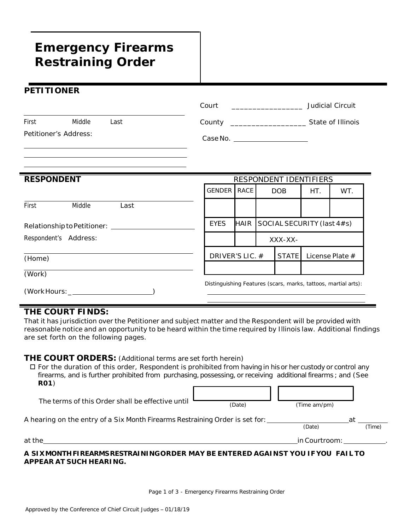# **Emergency Firearms Restraining Order**

## **PETITIONER**

 $\equiv$ 

|                                           |                       |                                                                         | Court                             |      |                            |              |                 | Judicial Circuit                                               |  |
|-------------------------------------------|-----------------------|-------------------------------------------------------------------------|-----------------------------------|------|----------------------------|--------------|-----------------|----------------------------------------------------------------|--|
| First                                     | Middle                | Last                                                                    |                                   |      |                            |              |                 |                                                                |  |
|                                           | Petitioner's Address: |                                                                         | Case No. ________________________ |      |                            |              |                 |                                                                |  |
| <b>RESPONDENT</b>                         |                       |                                                                         | RESPONDENT IDENTIFIERS            |      |                            |              |                 |                                                                |  |
|                                           |                       |                                                                         | <b>GENDER</b>                     | RACE | DOB                        |              | HT.             | WT.                                                            |  |
| First                                     | Middle                | Last                                                                    |                                   |      |                            |              |                 |                                                                |  |
| Relationship to Petitioner: \[\standal_\] |                       |                                                                         | <b>EYES</b>                       | HAIR | SOCIAL SECURITY (last 4#s) |              |                 |                                                                |  |
| Respondent's Address:                     |                       |                                                                         |                                   |      | XXX-XX-                    |              |                 |                                                                |  |
| (Home)                                    |                       |                                                                         | DRIVER'S LIC. #                   |      |                            | <b>STATE</b> | License Plate # |                                                                |  |
| (Work)                                    |                       |                                                                         |                                   |      |                            |              |                 |                                                                |  |
|                                           |                       | $(Work$ Hours: $\rule{1em}{0.15mm}$ (Work Hours: $\rule{1em}{0.15mm}$ ) |                                   |      |                            |              |                 | Distinguishing Features (scars, marks, tattoos, martial arts): |  |

#### **THE COURT FINDS:**

That it has jurisdiction over the Petitioner and subject matter and the Respondent will be provided with reasonable notice and an opportunity to be heard within the time required by Illinois law. Additional findings are set forth on the following pages.

## **THE COURT ORDERS:** (Additional terms are set forth herein)

 $\Box$  For the duration of this order, Respondent is prohibited from having in his or her custody or control any firearms, and is further prohibited from purchasing, possessing, or receiving additional firearms; and (See **R01**) г ח ר

| The terms of this Order shall be effective until                             | (Date) | (Time am/pm)  |        |  |  |
|------------------------------------------------------------------------------|--------|---------------|--------|--|--|
| A hearing on the entry of a Six Month Firearms Restraining Order is set for: | (Date) | a1            | (Time) |  |  |
| at the                                                                       |        | in Courtroom: |        |  |  |

#### *A SIXMONTHFIREARMSRESTRAININGORDER MAY BE ENTERED AGAINST YOU IF YOU FAIL TO APPEAR AT SUCH HEARING.*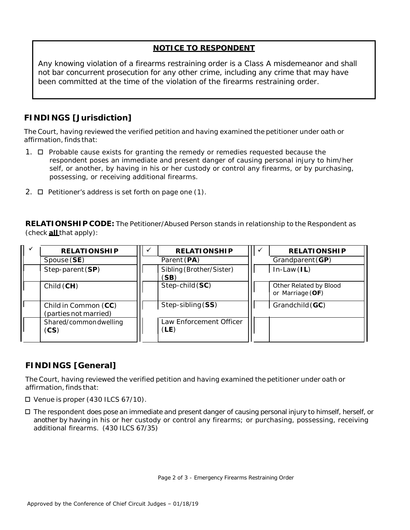## **NOTICE TO RESPONDENT**

Any knowing violation of a firearms restraining order is a Class A misdemeanor and shall not bar concurrent prosecution for any other crime, including any crime that may have been committed at the time of the violation of the firearms restraining order.

## **FINDINGS [Jurisdiction]**

The Court, having reviewed the verified petition and having examined the petitioner under oath or affirmation, finds that:

- 1.  $\Box$  Probable cause exists for granting the remedy or remedies requested because the respondent poses an immediate and present danger of causing personal injury to him/her self, or another, by having in his or her custody or control any firearms, or by purchasing, possessing, or receiving additional firearms.
- 2.  $\Box$  Petitioner's address is set forth on page one (1).

**RELATIONSHIP CODE:** The Petitioner/Abused Person stands in relationship to the Respondent as (check **all** that apply):

| <b>RELATIONSHIP</b>                           |  | <b>RELATIONSHIP</b>              |  | <b>RELATIONSHIP</b>                        |
|-----------------------------------------------|--|----------------------------------|--|--------------------------------------------|
| Spouse (SE)                                   |  | Parent (PA)                      |  | Grandparent $(GP)$                         |
| Step-parent (SP)                              |  | Sibling (Brother/Sister)<br>(SB) |  | $In-Law (IL)$                              |
| Child (CH)                                    |  | Step-child (SC)                  |  | Other Related by Blood<br>or Marriage (OF) |
| Child in Common (CC)<br>(parties not married) |  | Step-sibling (SS)                |  | Grandchild (GC)                            |
| Shared/commondwelling<br>(CS)                 |  | Law Enforcement Officer<br>(LE)  |  |                                            |

# **FINDINGS [General]**

The Court, having reviewed the verified petition and having examined the petitioner under oath or affirmation, finds that:

- $\Box$  Venue is proper (430 ILCS 67/10).
- The respondent does pose an immediate and present danger of causing personal injury to himself, herself, or another by having in his or her custody or control any firearms; or purchasing, possessing, receiving additional firearms. (430 ILCS 67/35)